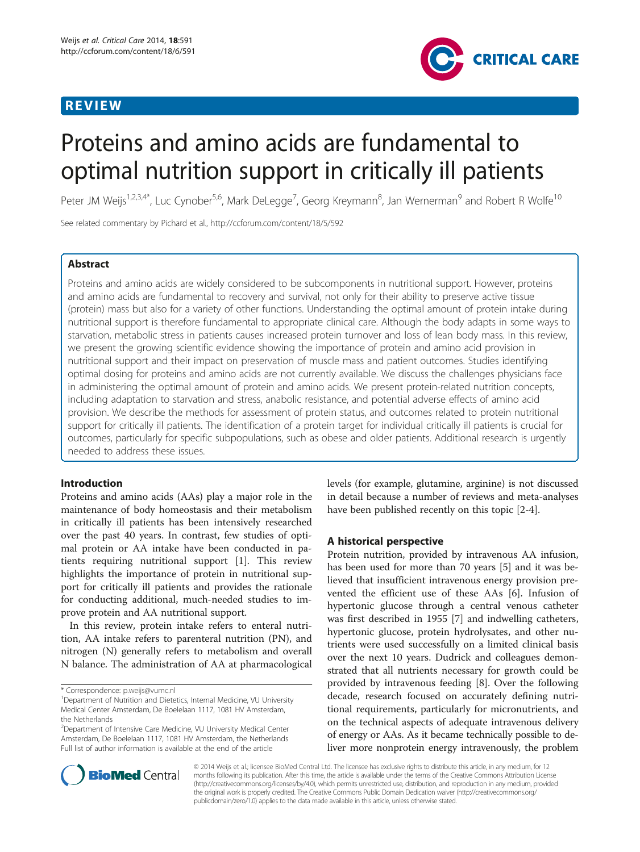# REVIEW



# Proteins and amino acids are fundamental to optimal nutrition support in critically ill patients

Peter JM Weijs<sup>1,2,3,4\*</sup>, Luc Cynober<sup>5,6</sup>, Mark DeLegge<sup>7</sup>, Georg Kreymann<sup>8</sup>, Jan Wernerman<sup>9</sup> and Robert R Wolfe<sup>10</sup>

See related commentary by Pichard et al.,<http://ccforum.com/content/18/5/592>

# Abstract

Proteins and amino acids are widely considered to be subcomponents in nutritional support. However, proteins and amino acids are fundamental to recovery and survival, not only for their ability to preserve active tissue (protein) mass but also for a variety of other functions. Understanding the optimal amount of protein intake during nutritional support is therefore fundamental to appropriate clinical care. Although the body adapts in some ways to starvation, metabolic stress in patients causes increased protein turnover and loss of lean body mass. In this review, we present the growing scientific evidence showing the importance of protein and amino acid provision in nutritional support and their impact on preservation of muscle mass and patient outcomes. Studies identifying optimal dosing for proteins and amino acids are not currently available. We discuss the challenges physicians face in administering the optimal amount of protein and amino acids. We present protein-related nutrition concepts, including adaptation to starvation and stress, anabolic resistance, and potential adverse effects of amino acid provision. We describe the methods for assessment of protein status, and outcomes related to protein nutritional support for critically ill patients. The identification of a protein target for individual critically ill patients is crucial for outcomes, particularly for specific subpopulations, such as obese and older patients. Additional research is urgently needed to address these issues.

# Introduction

Proteins and amino acids (AAs) play a major role in the maintenance of body homeostasis and their metabolism in critically ill patients has been intensively researched over the past 40 years. In contrast, few studies of optimal protein or AA intake have been conducted in patients requiring nutritional support [\[1](#page-9-0)]. This review highlights the importance of protein in nutritional support for critically ill patients and provides the rationale for conducting additional, much-needed studies to improve protein and AA nutritional support.

In this review, protein intake refers to enteral nutrition, AA intake refers to parenteral nutrition (PN), and nitrogen (N) generally refers to metabolism and overall N balance. The administration of AA at pharmacological

\* Correspondence: [p.weijs@vumc.nl](mailto:p.weijs@vumc.nl) <sup>1</sup>

levels (for example, glutamine, arginine) is not discussed in detail because a number of reviews and meta-analyses have been published recently on this topic [\[2](#page-9-0)-[4\]](#page-9-0).

# A historical perspective

Protein nutrition, provided by intravenous AA infusion, has been used for more than 70 years [\[5](#page-9-0)] and it was believed that insufficient intravenous energy provision prevented the efficient use of these AAs [\[6](#page-9-0)]. Infusion of hypertonic glucose through a central venous catheter was first described in 1955 [\[7](#page-9-0)] and indwelling catheters, hypertonic glucose, protein hydrolysates, and other nutrients were used successfully on a limited clinical basis over the next 10 years. Dudrick and colleagues demonstrated that all nutrients necessary for growth could be provided by intravenous feeding [[8\]](#page-9-0). Over the following decade, research focused on accurately defining nutritional requirements, particularly for micronutrients, and on the technical aspects of adequate intravenous delivery of energy or AAs. As it became technically possible to deliver more nonprotein energy intravenously, the problem



© 2014 Weijs et al.; licensee BioMed Central Ltd. The licensee has exclusive rights to distribute this article, in any medium, for 12 months following its publication. After this time, the article is available under the terms of the Creative Commons Attribution License [\(http://creativecommons.org/licenses/by/4.0\)](http://creativecommons.org/licenses/by/4.0), which permits unrestricted use, distribution, and reproduction in any medium, provided the original work is properly credited. The Creative Commons Public Domain Dedication waiver ([http://creativecommons.org/](http://creativecommons.org/publicdomain/zero/1.0) [publicdomain/zero/1.0\)](http://creativecommons.org/publicdomain/zero/1.0) applies to the data made available in this article, unless otherwise stated.

<sup>&</sup>lt;sup>1</sup>Department of Nutrition and Dietetics, Internal Medicine, VU University Medical Center Amsterdam, De Boelelaan 1117, 1081 HV Amsterdam, the Netherlands

<sup>2</sup> Department of Intensive Care Medicine, VU University Medical Center Amsterdam, De Boelelaan 1117, 1081 HV Amsterdam, the Netherlands Full list of author information is available at the end of the article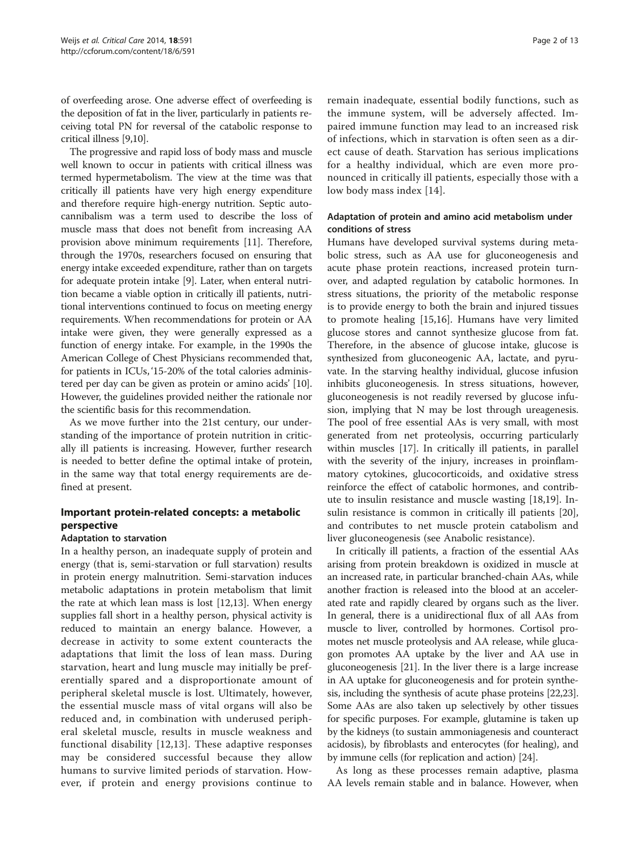of overfeeding arose. One adverse effect of overfeeding is the deposition of fat in the liver, particularly in patients receiving total PN for reversal of the catabolic response to critical illness [[9,10](#page-9-0)].

The progressive and rapid loss of body mass and muscle well known to occur in patients with critical illness was termed hypermetabolism. The view at the time was that critically ill patients have very high energy expenditure and therefore require high-energy nutrition. Septic autocannibalism was a term used to describe the loss of muscle mass that does not benefit from increasing AA provision above minimum requirements [[11\]](#page-9-0). Therefore, through the 1970s, researchers focused on ensuring that energy intake exceeded expenditure, rather than on targets for adequate protein intake [\[9\]](#page-9-0). Later, when enteral nutrition became a viable option in critically ill patients, nutritional interventions continued to focus on meeting energy requirements. When recommendations for protein or AA intake were given, they were generally expressed as a function of energy intake. For example, in the 1990s the American College of Chest Physicians recommended that, for patients in ICUs, '15-20% of the total calories administered per day can be given as protein or amino acids' [[10](#page-9-0)]. However, the guidelines provided neither the rationale nor the scientific basis for this recommendation.

As we move further into the 21st century, our understanding of the importance of protein nutrition in critically ill patients is increasing. However, further research is needed to better define the optimal intake of protein, in the same way that total energy requirements are defined at present.

# Important protein-related concepts: a metabolic perspective

# Adaptation to starvation

In a healthy person, an inadequate supply of protein and energy (that is, semi-starvation or full starvation) results in protein energy malnutrition. Semi-starvation induces metabolic adaptations in protein metabolism that limit the rate at which lean mass is lost [[12,13\]](#page-9-0). When energy supplies fall short in a healthy person, physical activity is reduced to maintain an energy balance. However, a decrease in activity to some extent counteracts the adaptations that limit the loss of lean mass. During starvation, heart and lung muscle may initially be preferentially spared and a disproportionate amount of peripheral skeletal muscle is lost. Ultimately, however, the essential muscle mass of vital organs will also be reduced and, in combination with underused peripheral skeletal muscle, results in muscle weakness and functional disability [[12](#page-9-0),[13\]](#page-9-0). These adaptive responses may be considered successful because they allow humans to survive limited periods of starvation. However, if protein and energy provisions continue to

remain inadequate, essential bodily functions, such as the immune system, will be adversely affected. Impaired immune function may lead to an increased risk of infections, which in starvation is often seen as a direct cause of death. Starvation has serious implications for a healthy individual, which are even more pronounced in critically ill patients, especially those with a low body mass index [[14\]](#page-9-0).

# Adaptation of protein and amino acid metabolism under conditions of stress

Humans have developed survival systems during metabolic stress, such as AA use for gluconeogenesis and acute phase protein reactions, increased protein turnover, and adapted regulation by catabolic hormones. In stress situations, the priority of the metabolic response is to provide energy to both the brain and injured tissues to promote healing [\[15,16\]](#page-9-0). Humans have very limited glucose stores and cannot synthesize glucose from fat. Therefore, in the absence of glucose intake, glucose is synthesized from gluconeogenic AA, lactate, and pyruvate. In the starving healthy individual, glucose infusion inhibits gluconeogenesis. In stress situations, however, gluconeogenesis is not readily reversed by glucose infusion, implying that N may be lost through ureagenesis. The pool of free essential AAs is very small, with most generated from net proteolysis, occurring particularly within muscles [[17](#page-9-0)]. In critically ill patients, in parallel with the severity of the injury, increases in proinflammatory cytokines, glucocorticoids, and oxidative stress reinforce the effect of catabolic hormones, and contribute to insulin resistance and muscle wasting [[18,19](#page-9-0)]. Insulin resistance is common in critically ill patients [\[20](#page-9-0)], and contributes to net muscle protein catabolism and liver gluconeogenesis (see [Anabolic resistance](#page-2-0)).

In critically ill patients, a fraction of the essential AAs arising from protein breakdown is oxidized in muscle at an increased rate, in particular branched-chain AAs, while another fraction is released into the blood at an accelerated rate and rapidly cleared by organs such as the liver. In general, there is a unidirectional flux of all AAs from muscle to liver, controlled by hormones. Cortisol promotes net muscle proteolysis and AA release, while glucagon promotes AA uptake by the liver and AA use in gluconeogenesis [[21\]](#page-9-0). In the liver there is a large increase in AA uptake for gluconeogenesis and for protein synthesis, including the synthesis of acute phase proteins [\[22,23](#page-9-0)]. Some AAs are also taken up selectively by other tissues for specific purposes. For example, glutamine is taken up by the kidneys (to sustain ammoniagenesis and counteract acidosis), by fibroblasts and enterocytes (for healing), and by immune cells (for replication and action) [[24](#page-9-0)].

As long as these processes remain adaptive, plasma AA levels remain stable and in balance. However, when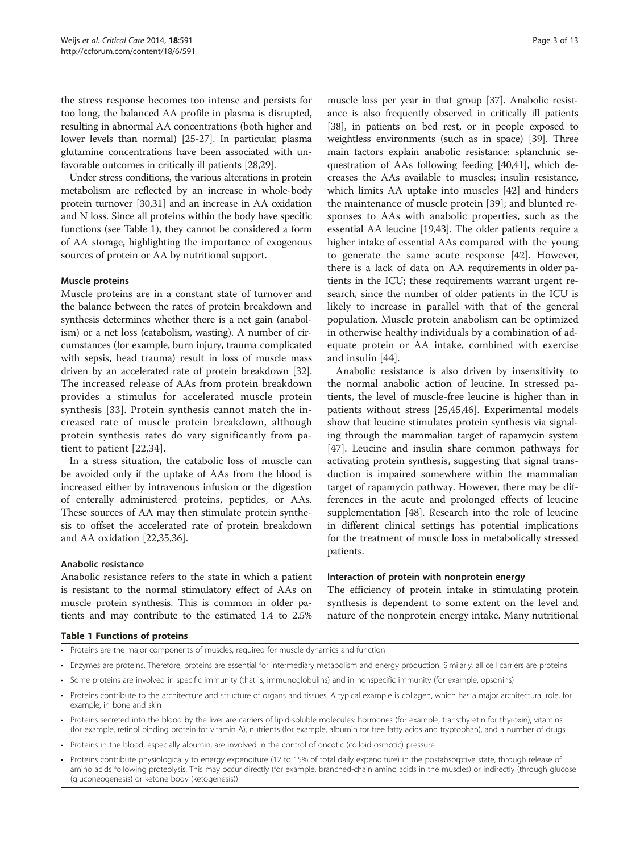<span id="page-2-0"></span>the stress response becomes too intense and persists for too long, the balanced AA profile in plasma is disrupted, resulting in abnormal AA concentrations (both higher and lower levels than normal) [\[25-27\]](#page-9-0). In particular, plasma glutamine concentrations have been associated with unfavorable outcomes in critically ill patients [[28,29\]](#page-9-0).

Under stress conditions, the various alterations in protein metabolism are reflected by an increase in whole-body protein turnover [\[30,31](#page-9-0)] and an increase in AA oxidation and N loss. Since all proteins within the body have specific functions (see Table 1), they cannot be considered a form of AA storage, highlighting the importance of exogenous sources of protein or AA by nutritional support.

# Muscle proteins

Muscle proteins are in a constant state of turnover and the balance between the rates of protein breakdown and synthesis determines whether there is a net gain (anabolism) or a net loss (catabolism, wasting). A number of circumstances (for example, burn injury, trauma complicated with sepsis, head trauma) result in loss of muscle mass driven by an accelerated rate of protein breakdown [[32](#page-9-0)]. The increased release of AAs from protein breakdown provides a stimulus for accelerated muscle protein synthesis [[33](#page-9-0)]. Protein synthesis cannot match the increased rate of muscle protein breakdown, although protein synthesis rates do vary significantly from patient to patient [[22](#page-9-0),[34\]](#page-9-0).

In a stress situation, the catabolic loss of muscle can be avoided only if the uptake of AAs from the blood is increased either by intravenous infusion or the digestion of enterally administered proteins, peptides, or AAs. These sources of AA may then stimulate protein synthesis to offset the accelerated rate of protein breakdown and AA oxidation [[22,](#page-9-0)[35,36\]](#page-10-0).

## Anabolic resistance

Anabolic resistance refers to the state in which a patient is resistant to the normal stimulatory effect of AAs on muscle protein synthesis. This is common in older patients and may contribute to the estimated 1.4 to 2.5%

## Table 1 Functions of proteins

muscle loss per year in that group [[37](#page-10-0)]. Anabolic resistance is also frequently observed in critically ill patients [[38](#page-10-0)], in patients on bed rest, or in people exposed to weightless environments (such as in space) [\[39\]](#page-10-0). Three main factors explain anabolic resistance: splanchnic sequestration of AAs following feeding [\[40,41\]](#page-10-0), which decreases the AAs available to muscles; insulin resistance, which limits AA uptake into muscles [\[42](#page-10-0)] and hinders the maintenance of muscle protein [[39\]](#page-10-0); and blunted responses to AAs with anabolic properties, such as the essential AA leucine [[19,](#page-9-0)[43](#page-10-0)]. The older patients require a higher intake of essential AAs compared with the young to generate the same acute response [[42\]](#page-10-0). However, there is a lack of data on AA requirements in older patients in the ICU; these requirements warrant urgent research, since the number of older patients in the ICU is likely to increase in parallel with that of the general population. Muscle protein anabolism can be optimized in otherwise healthy individuals by a combination of adequate protein or AA intake, combined with exercise and insulin [[44\]](#page-10-0).

Anabolic resistance is also driven by insensitivity to the normal anabolic action of leucine. In stressed patients, the level of muscle-free leucine is higher than in patients without stress [\[25](#page-9-0)[,45,46](#page-10-0)]. Experimental models show that leucine stimulates protein synthesis via signaling through the mammalian target of rapamycin system [[47\]](#page-10-0). Leucine and insulin share common pathways for activating protein synthesis, suggesting that signal transduction is impaired somewhere within the mammalian target of rapamycin pathway. However, there may be differences in the acute and prolonged effects of leucine supplementation [\[48](#page-10-0)]. Research into the role of leucine in different clinical settings has potential implications for the treatment of muscle loss in metabolically stressed patients.

## Interaction of protein with nonprotein energy

The efficiency of protein intake in stimulating protein synthesis is dependent to some extent on the level and nature of the nonprotein energy intake. Many nutritional

- Proteins are the major components of muscles, required for muscle dynamics and function
- Enzymes are proteins. Therefore, proteins are essential for intermediary metabolism and energy production. Similarly, all cell carriers are proteins
- Some proteins are involved in specific immunity (that is, immunoglobulins) and in nonspecific immunity (for example, opsonins)
- Proteins contribute to the architecture and structure of organs and tissues. A typical example is collagen, which has a major architectural role, for example, in bone and skin
- Proteins secreted into the blood by the liver are carriers of lipid-soluble molecules: hormones (for example, transthyretin for thyroxin), vitamins (for example, retinol binding protein for vitamin A), nutrients (for example, albumin for free fatty acids and tryptophan), and a number of drugs
- Proteins in the blood, especially albumin, are involved in the control of oncotic (colloid osmotic) pressure
- Proteins contribute physiologically to energy expenditure (12 to 15% of total daily expenditure) in the postabsorptive state, through release of amino acids following proteolysis. This may occur directly (for example, branched-chain amino acids in the muscles) or indirectly (through glucose (gluconeogenesis) or ketone body (ketogenesis))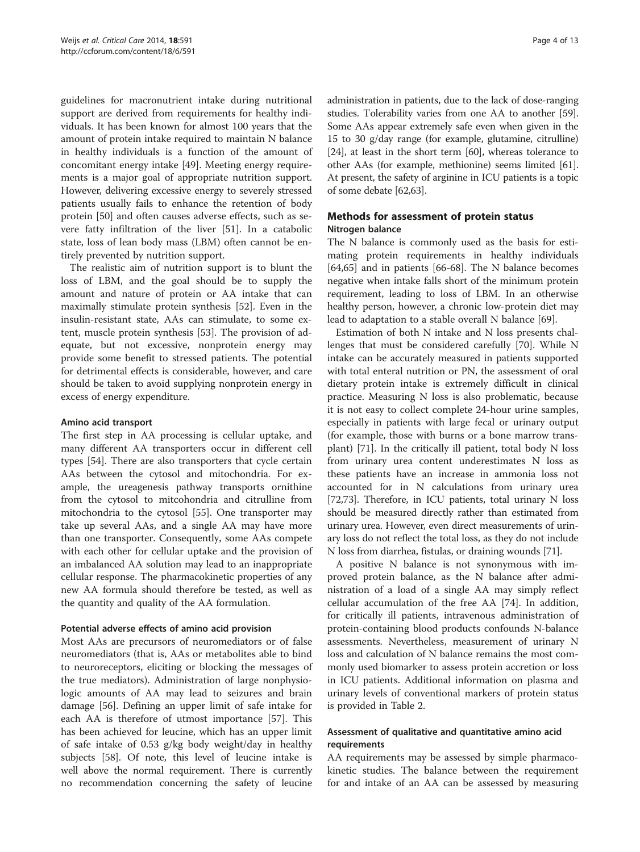guidelines for macronutrient intake during nutritional support are derived from requirements for healthy individuals. It has been known for almost 100 years that the amount of protein intake required to maintain N balance in healthy individuals is a function of the amount of concomitant energy intake [\[49](#page-10-0)]. Meeting energy requirements is a major goal of appropriate nutrition support. However, delivering excessive energy to severely stressed patients usually fails to enhance the retention of body protein [[50](#page-10-0)] and often causes adverse effects, such as severe fatty infiltration of the liver [[51\]](#page-10-0). In a catabolic state, loss of lean body mass (LBM) often cannot be entirely prevented by nutrition support.

The realistic aim of nutrition support is to blunt the loss of LBM, and the goal should be to supply the amount and nature of protein or AA intake that can maximally stimulate protein synthesis [\[52](#page-10-0)]. Even in the insulin-resistant state, AAs can stimulate, to some extent, muscle protein synthesis [[53](#page-10-0)]. The provision of adequate, but not excessive, nonprotein energy may provide some benefit to stressed patients. The potential for detrimental effects is considerable, however, and care should be taken to avoid supplying nonprotein energy in excess of energy expenditure.

# Amino acid transport

The first step in AA processing is cellular uptake, and many different AA transporters occur in different cell types [\[54](#page-10-0)]. There are also transporters that cycle certain AAs between the cytosol and mitochondria. For example, the ureagenesis pathway transports ornithine from the cytosol to mitcohondria and citrulline from mitochondria to the cytosol [\[55\]](#page-10-0). One transporter may take up several AAs, and a single AA may have more than one transporter. Consequently, some AAs compete with each other for cellular uptake and the provision of an imbalanced AA solution may lead to an inappropriate cellular response. The pharmacokinetic properties of any new AA formula should therefore be tested, as well as the quantity and quality of the AA formulation.

# Potential adverse effects of amino acid provision

Most AAs are precursors of neuromediators or of false neuromediators (that is, AAs or metabolites able to bind to neuroreceptors, eliciting or blocking the messages of the true mediators). Administration of large nonphysiologic amounts of AA may lead to seizures and brain damage [\[56](#page-10-0)]. Defining an upper limit of safe intake for each AA is therefore of utmost importance [[57](#page-10-0)]. This has been achieved for leucine, which has an upper limit of safe intake of 0.53 g/kg body weight/day in healthy subjects [[58](#page-10-0)]. Of note, this level of leucine intake is well above the normal requirement. There is currently no recommendation concerning the safety of leucine administration in patients, due to the lack of dose-ranging studies. Tolerability varies from one AA to another [[59](#page-10-0)]. Some AAs appear extremely safe even when given in the 15 to 30 g/day range (for example, glutamine, citrulline) [[24](#page-9-0)], at least in the short term [\[60\]](#page-10-0), whereas tolerance to other AAs (for example, methionine) seems limited [[61](#page-10-0)]. At present, the safety of arginine in ICU patients is a topic of some debate [[62,63\]](#page-10-0).

# Methods for assessment of protein status Nitrogen balance

The N balance is commonly used as the basis for estimating protein requirements in healthy individuals [[64,65\]](#page-10-0) and in patients [[66-68\]](#page-10-0). The N balance becomes negative when intake falls short of the minimum protein requirement, leading to loss of LBM. In an otherwise healthy person, however, a chronic low-protein diet may lead to adaptation to a stable overall N balance [[69\]](#page-10-0).

Estimation of both N intake and N loss presents challenges that must be considered carefully [[70\]](#page-10-0). While N intake can be accurately measured in patients supported with total enteral nutrition or PN, the assessment of oral dietary protein intake is extremely difficult in clinical practice. Measuring N loss is also problematic, because it is not easy to collect complete 24-hour urine samples, especially in patients with large fecal or urinary output (for example, those with burns or a bone marrow transplant) [\[71](#page-10-0)]. In the critically ill patient, total body N loss from urinary urea content underestimates N loss as these patients have an increase in ammonia loss not accounted for in N calculations from urinary urea [[72,73](#page-10-0)]. Therefore, in ICU patients, total urinary N loss should be measured directly rather than estimated from urinary urea. However, even direct measurements of urinary loss do not reflect the total loss, as they do not include N loss from diarrhea, fistulas, or draining wounds [[71](#page-10-0)].

A positive N balance is not synonymous with improved protein balance, as the N balance after administration of a load of a single AA may simply reflect cellular accumulation of the free AA [[74\]](#page-10-0). In addition, for critically ill patients, intravenous administration of protein-containing blood products confounds N-balance assessments. Nevertheless, measurement of urinary N loss and calculation of N balance remains the most commonly used biomarker to assess protein accretion or loss in ICU patients. Additional information on plasma and urinary levels of conventional markers of protein status is provided in Table [2.](#page-4-0)

# Assessment of qualitative and quantitative amino acid requirements

AA requirements may be assessed by simple pharmacokinetic studies. The balance between the requirement for and intake of an AA can be assessed by measuring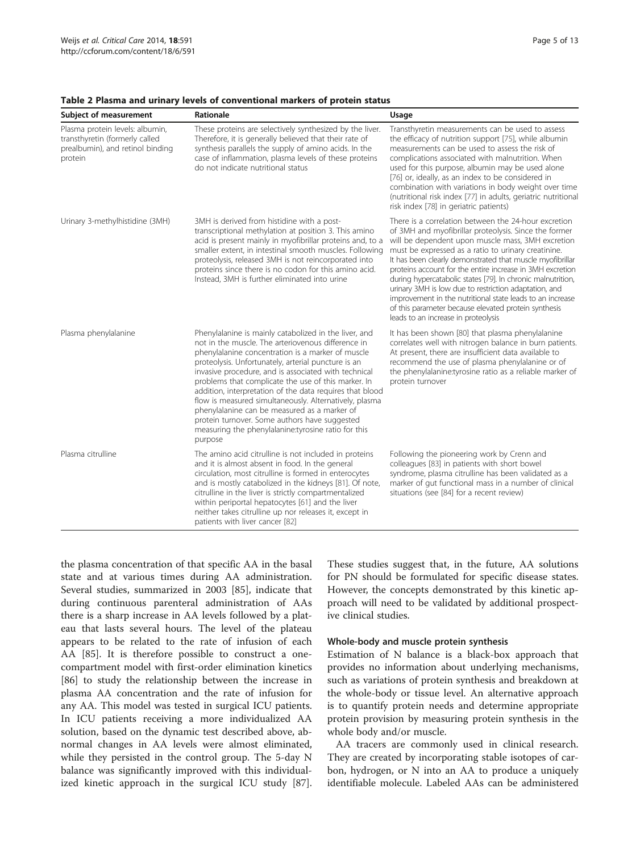| <b>Subject of measurement</b>                                                                                    | Rationale                                                                                                                                                                                                                                                                                                                                                                                                                                                                                                                                                                                                                       | Usage                                                                                                                                                                                                                                                                                                                                                                                                                                                                                                                                                                                                                                   |
|------------------------------------------------------------------------------------------------------------------|---------------------------------------------------------------------------------------------------------------------------------------------------------------------------------------------------------------------------------------------------------------------------------------------------------------------------------------------------------------------------------------------------------------------------------------------------------------------------------------------------------------------------------------------------------------------------------------------------------------------------------|-----------------------------------------------------------------------------------------------------------------------------------------------------------------------------------------------------------------------------------------------------------------------------------------------------------------------------------------------------------------------------------------------------------------------------------------------------------------------------------------------------------------------------------------------------------------------------------------------------------------------------------------|
| Plasma protein levels: albumin,<br>transthyretin (formerly called<br>prealbumin), and retinol binding<br>protein | These proteins are selectively synthesized by the liver.<br>Therefore, it is generally believed that their rate of<br>synthesis parallels the supply of amino acids. In the<br>case of inflammation, plasma levels of these proteins<br>do not indicate nutritional status                                                                                                                                                                                                                                                                                                                                                      | Transthyretin measurements can be used to assess<br>the efficacy of nutrition support [75], while albumin<br>measurements can be used to assess the risk of<br>complications associated with malnutrition. When<br>used for this purpose, albumin may be used alone<br>[76] or, ideally, as an index to be considered in<br>combination with variations in body weight over time<br>(nutritional risk index [77] in adults, geriatric nutritional<br>risk index [78] in geriatric patients)                                                                                                                                             |
| Urinary 3-methylhistidine (3MH)                                                                                  | 3MH is derived from histidine with a post-<br>transcriptional methylation at position 3. This amino<br>acid is present mainly in myofibrillar proteins and, to a<br>smaller extent, in intestinal smooth muscles. Following<br>proteolysis, released 3MH is not reincorporated into<br>proteins since there is no codon for this amino acid.<br>Instead, 3MH is further eliminated into urine                                                                                                                                                                                                                                   | There is a correlation between the 24-hour excretion<br>of 3MH and myofibrillar proteolysis. Since the former<br>will be dependent upon muscle mass, 3MH excretion<br>must be expressed as a ratio to urinary creatinine.<br>It has been clearly demonstrated that muscle myofibrillar<br>proteins account for the entire increase in 3MH excretion<br>during hypercatabolic states [79]. In chronic malnutrition,<br>urinary 3MH is low due to restriction adaptation, and<br>improvement in the nutritional state leads to an increase<br>of this parameter because elevated protein synthesis<br>leads to an increase in proteolysis |
| Plasma phenylalanine                                                                                             | Phenylalanine is mainly catabolized in the liver, and<br>not in the muscle. The arteriovenous difference in<br>phenylalanine concentration is a marker of muscle<br>proteolysis. Unfortunately, arterial puncture is an<br>invasive procedure, and is associated with technical<br>problems that complicate the use of this marker. In<br>addition, interpretation of the data requires that blood<br>flow is measured simultaneously. Alternatively, plasma<br>phenylalanine can be measured as a marker of<br>protein turnover. Some authors have suggested<br>measuring the phenylalanine:tyrosine ratio for this<br>purpose | It has been shown [80] that plasma phenylalanine<br>correlates well with nitrogen balance in burn patients.<br>At present, there are insufficient data available to<br>recommend the use of plasma phenylalanine or of<br>the phenylalanine: tyrosine ratio as a reliable marker of<br>protein turnover                                                                                                                                                                                                                                                                                                                                 |
| Plasma citrulline                                                                                                | The amino acid citrulline is not included in proteins<br>and it is almost absent in food. In the general<br>circulation, most citrulline is formed in enterocytes<br>and is mostly catabolized in the kidneys [81]. Of note,<br>citrulline in the liver is strictly compartmentalized<br>within periportal hepatocytes [61] and the liver<br>neither takes citrulline up nor releases it, except in<br>patients with liver cancer [82]                                                                                                                                                                                          | Following the pioneering work by Crenn and<br>colleagues [83] in patients with short bowel<br>syndrome, plasma citrulline has been validated as a<br>marker of gut functional mass in a number of clinical<br>situations (see [84] for a recent review)                                                                                                                                                                                                                                                                                                                                                                                 |

<span id="page-4-0"></span>Table 2 Plasma and urinary levels of conventional markers of protein status

the plasma concentration of that specific AA in the basal state and at various times during AA administration. Several studies, summarized in 2003 [[85](#page-11-0)], indicate that during continuous parenteral administration of AAs there is a sharp increase in AA levels followed by a plateau that lasts several hours. The level of the plateau appears to be related to the rate of infusion of each AA [\[85](#page-11-0)]. It is therefore possible to construct a onecompartment model with first-order elimination kinetics [[86\]](#page-11-0) to study the relationship between the increase in plasma AA concentration and the rate of infusion for any AA. This model was tested in surgical ICU patients. In ICU patients receiving a more individualized AA solution, based on the dynamic test described above, abnormal changes in AA levels were almost eliminated, while they persisted in the control group. The 5-day N balance was significantly improved with this individualized kinetic approach in the surgical ICU study [\[87](#page-11-0)].

These studies suggest that, in the future, AA solutions for PN should be formulated for specific disease states. However, the concepts demonstrated by this kinetic approach will need to be validated by additional prospective clinical studies.

## Whole-body and muscle protein synthesis

Estimation of N balance is a black-box approach that provides no information about underlying mechanisms, such as variations of protein synthesis and breakdown at the whole-body or tissue level. An alternative approach is to quantify protein needs and determine appropriate protein provision by measuring protein synthesis in the whole body and/or muscle.

AA tracers are commonly used in clinical research. They are created by incorporating stable isotopes of carbon, hydrogen, or N into an AA to produce a uniquely identifiable molecule. Labeled AAs can be administered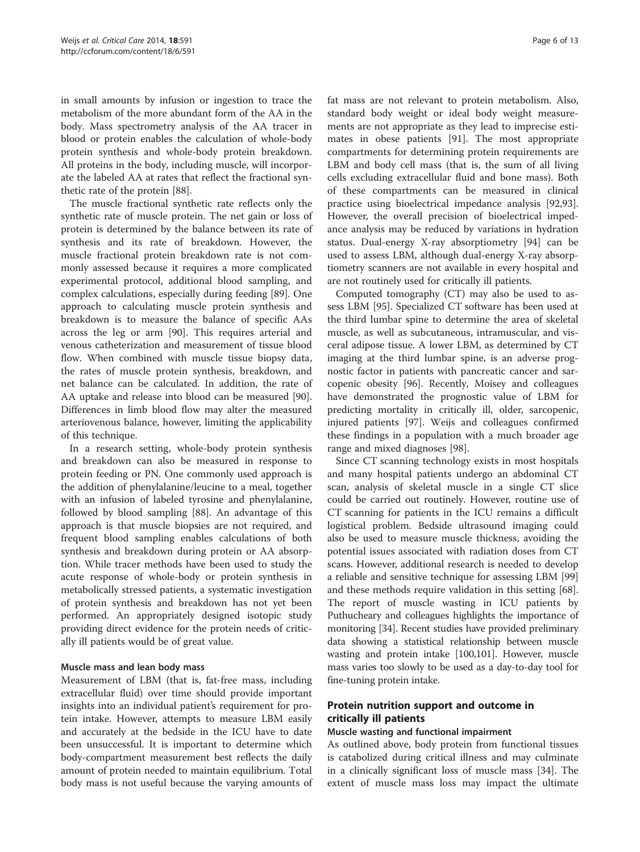in small amounts by infusion or ingestion to trace the metabolism of the more abundant form of the AA in the body. Mass spectrometry analysis of the AA tracer in blood or protein enables the calculation of whole-body protein synthesis and whole-body protein breakdown. All proteins in the body, including muscle, will incorporate the labeled AA at rates that reflect the fractional synthetic rate of the protein [[88](#page-11-0)].

The muscle fractional synthetic rate reflects only the synthetic rate of muscle protein. The net gain or loss of protein is determined by the balance between its rate of synthesis and its rate of breakdown. However, the muscle fractional protein breakdown rate is not commonly assessed because it requires a more complicated experimental protocol, additional blood sampling, and complex calculations, especially during feeding [[89\]](#page-11-0). One approach to calculating muscle protein synthesis and breakdown is to measure the balance of specific AAs across the leg or arm [\[90\]](#page-11-0). This requires arterial and venous catheterization and measurement of tissue blood flow. When combined with muscle tissue biopsy data, the rates of muscle protein synthesis, breakdown, and net balance can be calculated. In addition, the rate of AA uptake and release into blood can be measured [\[90](#page-11-0)]. Differences in limb blood flow may alter the measured arteriovenous balance, however, limiting the applicability of this technique.

In a research setting, whole-body protein synthesis and breakdown can also be measured in response to protein feeding or PN. One commonly used approach is the addition of phenylalanine/leucine to a meal, together with an infusion of labeled tyrosine and phenylalanine, followed by blood sampling [[88\]](#page-11-0). An advantage of this approach is that muscle biopsies are not required, and frequent blood sampling enables calculations of both synthesis and breakdown during protein or AA absorption. While tracer methods have been used to study the acute response of whole-body or protein synthesis in metabolically stressed patients, a systematic investigation of protein synthesis and breakdown has not yet been performed. An appropriately designed isotopic study providing direct evidence for the protein needs of critically ill patients would be of great value.

# Muscle mass and lean body mass

Measurement of LBM (that is, fat-free mass, including extracellular fluid) over time should provide important insights into an individual patient's requirement for protein intake. However, attempts to measure LBM easily and accurately at the bedside in the ICU have to date been unsuccessful. It is important to determine which body-compartment measurement best reflects the daily amount of protein needed to maintain equilibrium. Total body mass is not useful because the varying amounts of

fat mass are not relevant to protein metabolism. Also, standard body weight or ideal body weight measurements are not appropriate as they lead to imprecise estimates in obese patients [[91](#page-11-0)]. The most appropriate compartments for determining protein requirements are LBM and body cell mass (that is, the sum of all living cells excluding extracellular fluid and bone mass). Both of these compartments can be measured in clinical practice using bioelectrical impedance analysis [\[92,93](#page-11-0)]. However, the overall precision of bioelectrical impedance analysis may be reduced by variations in hydration status. Dual-energy X-ray absorptiometry [[94](#page-11-0)] can be used to assess LBM, although dual-energy X-ray absorptiometry scanners are not available in every hospital and are not routinely used for critically ill patients.

Computed tomography (CT) may also be used to assess LBM [\[95](#page-11-0)]. Specialized CT software has been used at the third lumbar spine to determine the area of skeletal muscle, as well as subcutaneous, intramuscular, and visceral adipose tissue. A lower LBM, as determined by CT imaging at the third lumbar spine, is an adverse prognostic factor in patients with pancreatic cancer and sarcopenic obesity [[96\]](#page-11-0). Recently, Moisey and colleagues have demonstrated the prognostic value of LBM for predicting mortality in critically ill, older, sarcopenic, injured patients [\[97\]](#page-11-0). Weijs and colleagues confirmed these findings in a population with a much broader age range and mixed diagnoses [[98\]](#page-11-0).

Since CT scanning technology exists in most hospitals and many hospital patients undergo an abdominal CT scan, analysis of skeletal muscle in a single CT slice could be carried out routinely. However, routine use of CT scanning for patients in the ICU remains a difficult logistical problem. Bedside ultrasound imaging could also be used to measure muscle thickness, avoiding the potential issues associated with radiation doses from CT scans. However, additional research is needed to develop a reliable and sensitive technique for assessing LBM [[99](#page-11-0)] and these methods require validation in this setting [\[68](#page-10-0)]. The report of muscle wasting in ICU patients by Puthucheary and colleagues highlights the importance of monitoring [[34](#page-9-0)]. Recent studies have provided preliminary data showing a statistical relationship between muscle wasting and protein intake [[100,101\]](#page-11-0). However, muscle mass varies too slowly to be used as a day-to-day tool for fine-tuning protein intake.

# Protein nutrition support and outcome in critically ill patients

# Muscle wasting and functional impairment

As outlined above, body protein from functional tissues is catabolized during critical illness and may culminate in a clinically significant loss of muscle mass [\[34\]](#page-9-0). The extent of muscle mass loss may impact the ultimate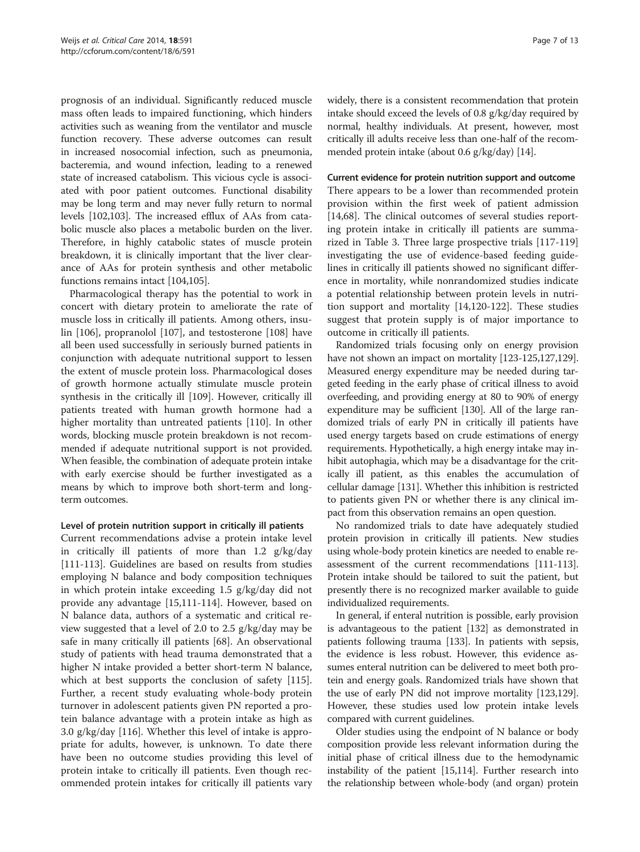prognosis of an individual. Significantly reduced muscle mass often leads to impaired functioning, which hinders activities such as weaning from the ventilator and muscle function recovery. These adverse outcomes can result in increased nosocomial infection, such as pneumonia, bacteremia, and wound infection, leading to a renewed state of increased catabolism. This vicious cycle is associated with poor patient outcomes. Functional disability may be long term and may never fully return to normal levels [[102,103\]](#page-11-0). The increased efflux of AAs from catabolic muscle also places a metabolic burden on the liver. Therefore, in highly catabolic states of muscle protein breakdown, it is clinically important that the liver clearance of AAs for protein synthesis and other metabolic functions remains intact [\[104](#page-11-0),[105](#page-11-0)].

Pharmacological therapy has the potential to work in concert with dietary protein to ameliorate the rate of muscle loss in critically ill patients. Among others, insulin [[106\]](#page-11-0), propranolol [\[107\]](#page-11-0), and testosterone [[108](#page-11-0)] have all been used successfully in seriously burned patients in conjunction with adequate nutritional support to lessen the extent of muscle protein loss. Pharmacological doses of growth hormone actually stimulate muscle protein synthesis in the critically ill [[109](#page-11-0)]. However, critically ill patients treated with human growth hormone had a higher mortality than untreated patients [\[110](#page-11-0)]. In other words, blocking muscle protein breakdown is not recommended if adequate nutritional support is not provided. When feasible, the combination of adequate protein intake with early exercise should be further investigated as a means by which to improve both short-term and longterm outcomes.

# Level of protein nutrition support in critically ill patients

Current recommendations advise a protein intake level in critically ill patients of more than 1.2 g/kg/day [[111-113\]](#page-11-0). Guidelines are based on results from studies employing N balance and body composition techniques in which protein intake exceeding 1.5 g/kg/day did not provide any advantage [[15,](#page-9-0)[111-114\]](#page-11-0). However, based on N balance data, authors of a systematic and critical review suggested that a level of 2.0 to 2.5 g/kg/day may be safe in many critically ill patients [\[68](#page-10-0)]. An observational study of patients with head trauma demonstrated that a higher N intake provided a better short-term N balance, which at best supports the conclusion of safety [\[115](#page-11-0)]. Further, a recent study evaluating whole-body protein turnover in adolescent patients given PN reported a protein balance advantage with a protein intake as high as 3.0 g/kg/day [\[116](#page-11-0)]. Whether this level of intake is appropriate for adults, however, is unknown. To date there have been no outcome studies providing this level of protein intake to critically ill patients. Even though recommended protein intakes for critically ill patients vary

widely, there is a consistent recommendation that protein intake should exceed the levels of 0.8 g/kg/day required by normal, healthy individuals. At present, however, most critically ill adults receive less than one-half of the recommended protein intake (about 0.6 g/kg/day) [\[14\]](#page-9-0).

# Current evidence for protein nutrition support and outcome

There appears to be a lower than recommended protein provision within the first week of patient admission [[14,](#page-9-0)[68\]](#page-10-0). The clinical outcomes of several studies reporting protein intake in critically ill patients are summarized in Table [3.](#page-7-0) Three large prospective trials [\[117](#page-11-0)-[119](#page-11-0)] investigating the use of evidence-based feeding guidelines in critically ill patients showed no significant difference in mortality, while nonrandomized studies indicate a potential relationship between protein levels in nutrition support and mortality [\[14](#page-9-0)[,120](#page-12-0)-[122](#page-12-0)]. These studies suggest that protein supply is of major importance to outcome in critically ill patients.

Randomized trials focusing only on energy provision have not shown an impact on mortality [\[123-125,127,129](#page-12-0)]. Measured energy expenditure may be needed during targeted feeding in the early phase of critical illness to avoid overfeeding, and providing energy at 80 to 90% of energy expenditure may be sufficient [\[130\]](#page-12-0). All of the large randomized trials of early PN in critically ill patients have used energy targets based on crude estimations of energy requirements. Hypothetically, a high energy intake may inhibit autophagia, which may be a disadvantage for the critically ill patient, as this enables the accumulation of cellular damage [\[131](#page-12-0)]. Whether this inhibition is restricted to patients given PN or whether there is any clinical impact from this observation remains an open question.

No randomized trials to date have adequately studied protein provision in critically ill patients. New studies using whole-body protein kinetics are needed to enable reassessment of the current recommendations [\[111-113](#page-11-0)]. Protein intake should be tailored to suit the patient, but presently there is no recognized marker available to guide individualized requirements.

In general, if enteral nutrition is possible, early provision is advantageous to the patient [\[132\]](#page-12-0) as demonstrated in patients following trauma [\[133\]](#page-12-0). In patients with sepsis, the evidence is less robust. However, this evidence assumes enteral nutrition can be delivered to meet both protein and energy goals. Randomized trials have shown that the use of early PN did not improve mortality [\[123,129](#page-12-0)]. However, these studies used low protein intake levels compared with current guidelines.

Older studies using the endpoint of N balance or body composition provide less relevant information during the initial phase of critical illness due to the hemodynamic instability of the patient [[15](#page-9-0)[,114\]](#page-11-0). Further research into the relationship between whole-body (and organ) protein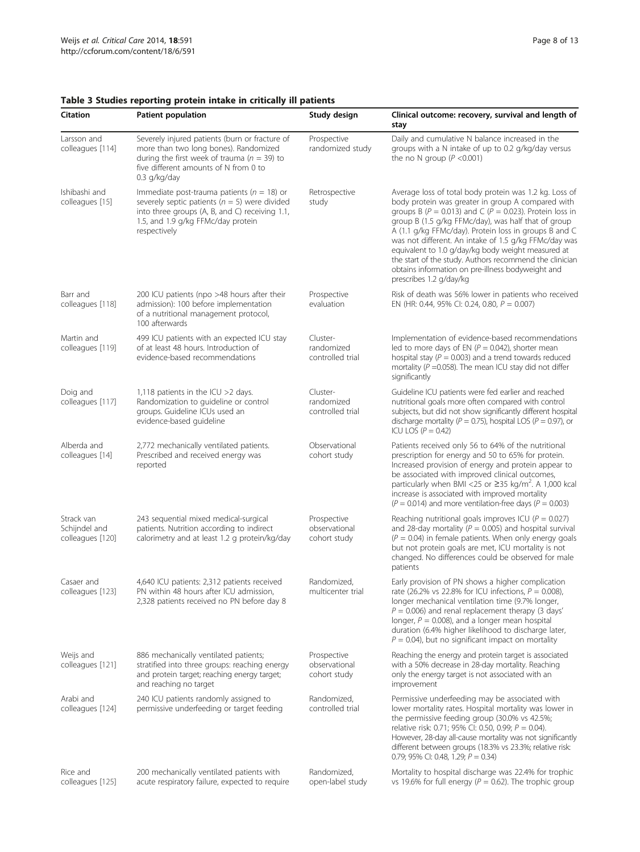<span id="page-7-0"></span>

|  | Table 3 Studies reporting protein intake in critically ill patients |  |  |  |  |
|--|---------------------------------------------------------------------|--|--|--|--|
|--|---------------------------------------------------------------------|--|--|--|--|

| Citation                                        | <b>Patient population</b>                                                                                                                                                                                   | Study design                                 | Clinical outcome: recovery, survival and length of<br>stay                                                                                                                                                                                                                                                                                                                                                                                                                                                                                               |
|-------------------------------------------------|-------------------------------------------------------------------------------------------------------------------------------------------------------------------------------------------------------------|----------------------------------------------|----------------------------------------------------------------------------------------------------------------------------------------------------------------------------------------------------------------------------------------------------------------------------------------------------------------------------------------------------------------------------------------------------------------------------------------------------------------------------------------------------------------------------------------------------------|
| Larsson and<br>colleagues [114]                 | Severely injured patients (burn or fracture of<br>more than two long bones). Randomized<br>during the first week of trauma ( $n = 39$ ) to<br>five different amounts of N from 0 to<br>0.3 g/kg/day         | Prospective<br>randomized study              | Daily and cumulative N balance increased in the<br>groups with a N intake of up to 0.2 g/kg/day versus<br>the no N group ( $P < 0.001$ )                                                                                                                                                                                                                                                                                                                                                                                                                 |
| Ishibashi and<br>colleagues [15]                | Immediate post-trauma patients ( $n = 18$ ) or<br>severely septic patients ( $n = 5$ ) were divided<br>into three groups (A, B, and C) receiving 1.1,<br>1.5, and 1.9 g/kg FFMc/day protein<br>respectively | Retrospective<br>study                       | Average loss of total body protein was 1.2 kg. Loss of<br>body protein was greater in group A compared with<br>groups B ( $P = 0.013$ ) and C ( $P = 0.023$ ). Protein loss in<br>group B (1.5 g/kg FFMc/day), was half that of group<br>A (1.1 g/kg FFMc/day). Protein loss in groups B and C<br>was not different. An intake of 1.5 g/kg FFMc/day was<br>equivalent to 1.0 g/day/kg body weight measured at<br>the start of the study. Authors recommend the clinician<br>obtains information on pre-illness bodyweight and<br>prescribes 1.2 g/day/kg |
| Barr and<br>colleagues [118]                    | 200 ICU patients (npo >48 hours after their<br>admission): 100 before implementation<br>of a nutritional management protocol,<br>100 afterwards                                                             | Prospective<br>evaluation                    | Risk of death was 56% lower in patients who received<br>EN (HR: 0.44, 95% CI: 0.24, 0.80, $P = 0.007$ )                                                                                                                                                                                                                                                                                                                                                                                                                                                  |
| Martin and<br>colleagues [119]                  | 499 ICU patients with an expected ICU stay<br>of at least 48 hours. Introduction of<br>evidence-based recommendations                                                                                       | Cluster-<br>randomized<br>controlled trial   | Implementation of evidence-based recommendations<br>led to more days of EN ( $P = 0.042$ ), shorter mean<br>hospital stay ( $P = 0.003$ ) and a trend towards reduced<br>mortality ( $\dot{P}$ =0.058). The mean ICU stay did not differ<br>significantly                                                                                                                                                                                                                                                                                                |
| Doig and<br>colleagues [117]                    | 1,118 patients in the ICU >2 days.<br>Randomization to guideline or control<br>groups. Guideline ICUs used an<br>evidence-based guideline                                                                   | Cluster-<br>randomized<br>controlled trial   | Guideline ICU patients were fed earlier and reached<br>nutritional goals more often compared with control<br>subjects, but did not show significantly different hospital<br>discharge mortality ( $P = 0.75$ ), hospital LOS ( $P = 0.97$ ), or<br>ICU LOS ( $P = 0.42$ )                                                                                                                                                                                                                                                                                |
| Alberda and<br>colleagues [14]                  | 2,772 mechanically ventilated patients.<br>Prescribed and received energy was<br>reported                                                                                                                   | Observational<br>cohort study                | Patients received only 56 to 64% of the nutritional<br>prescription for energy and 50 to 65% for protein.<br>Increased provision of energy and protein appear to<br>be associated with improved clinical outcomes,<br>particularly when BMI <25 or ≥35 kg/m <sup>2</sup> . A 1,000 kcal<br>increase is associated with improved mortality<br>( $P = 0.014$ ) and more ventilation-free days ( $P = 0.003$ )                                                                                                                                              |
| Strack van<br>Schijndel and<br>colleagues [120] | 243 sequential mixed medical-surgical<br>patients. Nutrition according to indirect<br>calorimetry and at least 1.2 g protein/kg/day                                                                         | Prospective<br>observational<br>cohort study | Reaching nutritional goals improves ICU ( $P = 0.027$ )<br>and 28-day mortality ( $P = 0.005$ ) and hospital survival<br>$(P = 0.04)$ in female patients. When only energy goals<br>but not protein goals are met, ICU mortality is not<br>changed. No differences could be observed for male<br>patients                                                                                                                                                                                                                                                |
| Casaer and<br>colleagues [123]                  | 4,640 ICU patients: 2,312 patients received<br>PN within 48 hours after ICU admission,<br>2,328 patients received no PN before day 8                                                                        | Randomized,<br>multicenter trial             | Early provision of PN shows a higher complication<br>rate (26.2% vs 22.8% for ICU infections, $P = 0.008$ ),<br>longer mechanical ventilation time (9.7% longer,<br>$P = 0.006$ ) and renal replacement therapy (3 days'<br>longer, $P = 0.008$ ), and a longer mean hospital<br>duration (6.4% higher likelihood to discharge later,<br>$P = 0.04$ ), but no significant impact on mortality                                                                                                                                                            |
| Weijs and<br>colleagues [121]                   | 886 mechanically ventilated patients;<br>stratified into three groups: reaching energy<br>and protein target; reaching energy target;<br>and reaching no target                                             | Prospective<br>observational<br>cohort study | Reaching the energy and protein target is associated<br>with a 50% decrease in 28-day mortality. Reaching<br>only the energy target is not associated with an<br>improvement                                                                                                                                                                                                                                                                                                                                                                             |
| Arabi and<br>colleagues [124]                   | 240 ICU patients randomly assigned to<br>permissive underfeeding or target feeding                                                                                                                          | Randomized.<br>controlled trial              | Permissive underfeeding may be associated with<br>lower mortality rates. Hospital mortality was lower in<br>the permissive feeding group (30.0% vs 42.5%;<br>relative risk: 0.71; 95% CI: 0.50, 0.99; P = 0.04).<br>However, 28-day all-cause mortality was not significantly<br>different between groups (18.3% vs 23.3%; relative risk:<br>0.79; 95% CI: 0.48, 1.29; $P = 0.34$ )                                                                                                                                                                      |
| Rice and<br>colleagues [125]                    | 200 mechanically ventilated patients with<br>acute respiratory failure, expected to require                                                                                                                 | Randomized,<br>open-label study              | Mortality to hospital discharge was 22.4% for trophic<br>vs 19.6% for full energy ( $P = 0.62$ ). The trophic group                                                                                                                                                                                                                                                                                                                                                                                                                                      |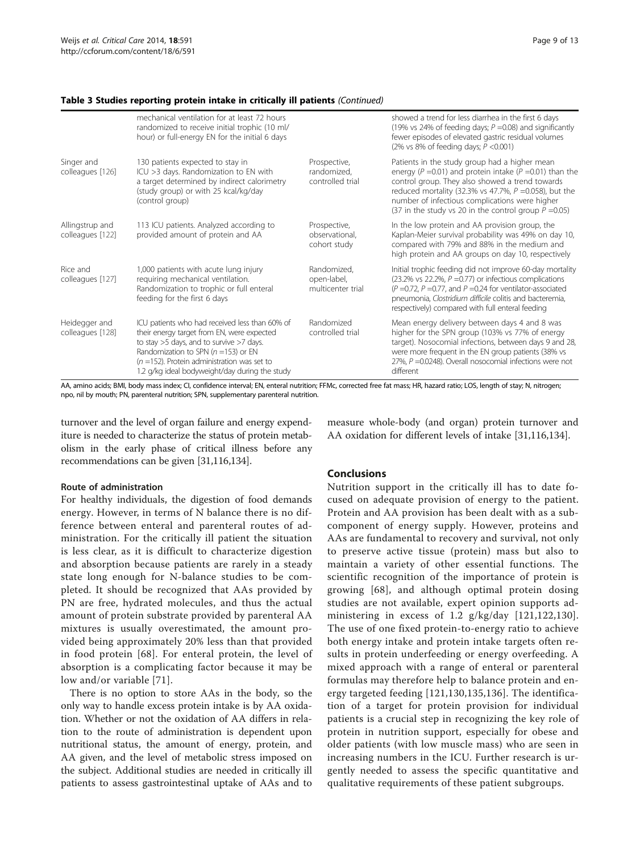## Table 3 Studies reporting protein intake in critically ill patients (Continued)

|                                     | mechanical ventilation for at least 72 hours<br>randomized to receive initial trophic (10 ml/<br>hour) or full-energy EN for the initial 6 days                                                                                                                                               |                                                 | showed a trend for less diarrhea in the first 6 days<br>(19% vs 24% of feeding days; $P = 0.08$ ) and significantly<br>fewer episodes of elevated gastric residual volumes<br>(2% vs 8% of feeding days; $P < 0.001$ )                                                                                                                          |
|-------------------------------------|-----------------------------------------------------------------------------------------------------------------------------------------------------------------------------------------------------------------------------------------------------------------------------------------------|-------------------------------------------------|-------------------------------------------------------------------------------------------------------------------------------------------------------------------------------------------------------------------------------------------------------------------------------------------------------------------------------------------------|
| Singer and<br>colleagues [126]      | 130 patients expected to stay in<br>ICU >3 days. Randomization to EN with<br>a target determined by indirect calorimetry<br>(study group) or with 25 kcal/kg/day<br>(control group)                                                                                                           | Prospective,<br>randomized,<br>controlled trial | Patients in the study group had a higher mean<br>energy ( $P = 0.01$ ) and protein intake ( $P = 0.01$ ) than the<br>control group. They also showed a trend towards<br>reduced mortality (32.3% vs 47.7%, $P = 0.058$ ), but the<br>number of infectious complications were higher<br>(37 in the study vs 20 in the control group $P = 0.05$ ) |
| Allingstrup and<br>colleagues [122] | 113 ICU patients. Analyzed according to<br>provided amount of protein and AA                                                                                                                                                                                                                  | Prospective,<br>observational,<br>cohort study  | In the low protein and AA provision group, the<br>Kaplan-Meier survival probability was 49% on day 10,<br>compared with 79% and 88% in the medium and<br>high protein and AA groups on day 10, respectively                                                                                                                                     |
| Rice and<br>colleagues [127]        | 1,000 patients with acute lung injury<br>requiring mechanical ventilation.<br>Randomization to trophic or full enteral<br>feeding for the first 6 days                                                                                                                                        | Randomized.<br>open-label,<br>multicenter trial | Initial trophic feeding did not improve 60-day mortality<br>(23.2% vs 22.2%, $P = 0.77$ ) or infectious complications<br>( $P = 0.72$ , $P = 0.77$ , and $P = 0.24$ for ventilator-associated<br>pneumonia, Clostridium difficile colitis and bacteremia,<br>respectively) compared with full enteral feeding                                   |
| Heidegger and<br>colleagues [128]   | ICU patients who had received less than 60% of<br>their energy target from EN, were expected<br>to stay $>5$ days, and to survive $>7$ days.<br>Randomization to SPN ( $n = 153$ ) or EN<br>$(n = 152)$ . Protein administration was set to<br>1.2 g/kg ideal bodyweight/day during the study | Randomized<br>controlled trial                  | Mean energy delivery between days 4 and 8 was<br>higher for the SPN group (103% vs 77% of energy<br>target). Nosocomial infections, between days 9 and 28,<br>were more frequent in the EN group patients (38% vs<br>27%, P = 0.0248). Overall nosocomial infections were not<br>different                                                      |

AA, amino acids; BMI, body mass index; CI, confidence interval; EN, enteral nutrition; FFMc, corrected free fat mass; HR, hazard ratio; LOS, length of stay; N, nitrogen; npo, nil by mouth; PN, parenteral nutrition; SPN, supplementary parenteral nutrition.

turnover and the level of organ failure and energy expenditure is needed to characterize the status of protein metabolism in the early phase of critical illness before any recommendations can be given [[31](#page-9-0)[,116,](#page-11-0)[134](#page-12-0)].

# Route of administration

For healthy individuals, the digestion of food demands energy. However, in terms of N balance there is no difference between enteral and parenteral routes of administration. For the critically ill patient the situation is less clear, as it is difficult to characterize digestion and absorption because patients are rarely in a steady state long enough for N-balance studies to be completed. It should be recognized that AAs provided by PN are free, hydrated molecules, and thus the actual amount of protein substrate provided by parenteral AA mixtures is usually overestimated, the amount provided being approximately 20% less than that provided in food protein [[68](#page-10-0)]. For enteral protein, the level of absorption is a complicating factor because it may be low and/or variable [[71](#page-10-0)].

There is no option to store AAs in the body, so the only way to handle excess protein intake is by AA oxidation. Whether or not the oxidation of AA differs in relation to the route of administration is dependent upon nutritional status, the amount of energy, protein, and AA given, and the level of metabolic stress imposed on the subject. Additional studies are needed in critically ill patients to assess gastrointestinal uptake of AAs and to measure whole-body (and organ) protein turnover and AA oxidation for different levels of intake [\[31,](#page-9-0)[116,](#page-11-0)[134\]](#page-12-0).

# Conclusions

Nutrition support in the critically ill has to date focused on adequate provision of energy to the patient. Protein and AA provision has been dealt with as a subcomponent of energy supply. However, proteins and AAs are fundamental to recovery and survival, not only to preserve active tissue (protein) mass but also to maintain a variety of other essential functions. The scientific recognition of the importance of protein is growing [\[68\]](#page-10-0), and although optimal protein dosing studies are not available, expert opinion supports administering in excess of 1.2 g/kg/day [[121,122](#page-12-0),[130](#page-12-0)]. The use of one fixed protein-to-energy ratio to achieve both energy intake and protein intake targets often results in protein underfeeding or energy overfeeding. A mixed approach with a range of enteral or parenteral formulas may therefore help to balance protein and energy targeted feeding [[121,130,135,136\]](#page-12-0). The identification of a target for protein provision for individual patients is a crucial step in recognizing the key role of protein in nutrition support, especially for obese and older patients (with low muscle mass) who are seen in increasing numbers in the ICU. Further research is urgently needed to assess the specific quantitative and qualitative requirements of these patient subgroups.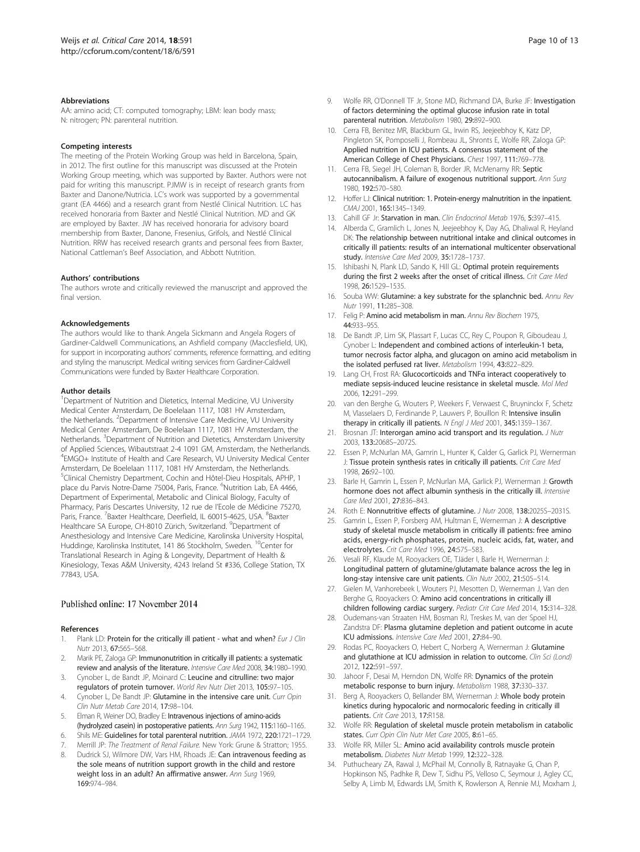#### <span id="page-9-0"></span>Abbreviations

AA: amino acid; CT: computed tomography; LBM: lean body mass; N: nitrogen; PN: parenteral nutrition.

#### Competing interests

The meeting of the Protein Working Group was held in Barcelona, Spain, in 2012. The first outline for this manuscript was discussed at the Protein Working Group meeting, which was supported by Baxter. Authors were not paid for writing this manuscript. PJMW is in receipt of research grants from Baxter and Danone/Nutricia. LC's work was supported by a governmental grant (EA 4466) and a research grant from Nestlé Clinical Nutrition. LC has received honoraria from Baxter and Nestlé Clinical Nutrition. MD and GK are employed by Baxter. JW has received honoraria for advisory board membership from Baxter, Danone, Fresenius, Grifols, and Nestlé Clinical Nutrition. RRW has received research grants and personal fees from Baxter, National Cattleman's Beef Association, and Abbott Nutrition.

#### Authors' contributions

The authors wrote and critically reviewed the manuscript and approved the final version.

#### Acknowledgements

The authors would like to thank Angela Sickmann and Angela Rogers of Gardiner-Caldwell Communications, an Ashfield company (Macclesfield, UK), for support in incorporating authors' comments, reference formatting, and editing and styling the manuscript. Medical writing services from Gardiner-Caldwell Communications were funded by Baxter Healthcare Corporation.

#### Author details

<sup>1</sup>Department of Nutrition and Dietetics, Internal Medicine, VU University Medical Center Amsterdam, De Boelelaan 1117, 1081 HV Amsterdam, the Netherlands. <sup>2</sup>Department of Intensive Care Medicine, VU University Medical Center Amsterdam, De Boelelaan 1117, 1081 HV Amsterdam, the Netherlands. <sup>3</sup>Department of Nutrition and Dietetics, Amsterdam University of Applied Sciences, Wibautstraat 2-4 1091 GM, Amsterdam, the Netherlands. 4 EMGO+ Institute of Health and Care Research, VU University Medical Center Amsterdam, De Boelelaan 1117, 1081 HV Amsterdam, the Netherlands. 5 Clinical Chemistry Department, Cochin and Hôtel-Dieu Hospitals, APHP, 1 place du Parvis Notre-Dame 75004, Paris, France. <sup>6</sup>Nutrition Lab, EA 4466, Department of Experimental, Metabolic and Clinical Biology, Faculty of Pharmacy, Paris Descartes University, 12 rue de l'Ecole de Médicine 75270, Paris, France. <sup>7</sup>Baxter Healthcare, Deerfield, IL 60015-4625, USA. <sup>8</sup>Baxter Healthcare SA Europe, CH-8010 Zürich, Switzerland. <sup>9</sup>Department of Anesthesiology and Intensive Care Medicine, Karolinska University Hospital, Huddinge, Karolinska Institutet, 141 86 Stockholm, Sweden. <sup>10</sup>Center for Translational Research in Aging & Longevity, Department of Health & Kinesiology, Texas A&M University, 4243 Ireland St #336, College Station, TX 77843, USA.

# Published online: 17 November 2014

#### References

- 1. Plank LD: Protein for the critically ill patient what and when? Eur J Clin Nutr 2013, 67:565–568.
- 2. Marik PE, Zaloga GP: Immunonutrition in critically ill patients: a systematic review and analysis of the literature. Intensive Care Med 2008, 34:1980–1990.
- 3. Cynober L, de Bandt JP, Moinard C: Leucine and citrulline: two major regulators of protein turnover. World Rev Nutr Diet 2013, 105:97–105.
- 4. Cynober L, De Bandt JP: Glutamine in the intensive care unit. Curr Opin Clin Nutr Metab Care 2014, 17:98–104.
- 5. Elman R, Weiner DO, Bradley E: Intravenous injections of amino-acids (hydrolyzed casein) in postoperative patients. Ann Surg 1942, 115:1160–1165.
- 6. Shils ME: Guidelines for total parenteral nutrition. JAMA 1972, 220:1721–1729.
- Merrill JP: The Treatment of Renal Failure. New York: Grune & Stratton; 1955.
- Dudrick SJ, Wilmore DW, Vars HM, Rhoads JE: Can intravenous feeding as the sole means of nutrition support growth in the child and restore weight loss in an adult? An affirmative answer. Ann Surg 1969, 169:974–984.
- Wolfe RR, O'Donnell TF Jr, Stone MD, Richmand DA, Burke JF: Investigation of factors determining the optimal glucose infusion rate in total parenteral nutrition. Metabolism 1980, 29:892–900.
- 10. Cerra FB, Benitez MR, Blackburn GL, Irwin RS, Jeejeebhoy K, Katz DP, Pingleton SK, Pomposelli J, Rombeau JL, Shronts E, Wolfe RR, Zaloga GP: Applied nutrition in ICU patients. A consensus statement of the American College of Chest Physicians. Chest 1997, 111:769–778.
- 11. Cerra FB, Siegel JH, Coleman B, Border JR, McMenamy RR: Septic autocannibalism. A failure of exogenous nutritional support. Ann Surg 1980, 192:570–580.
- 12. Hoffer LJ: Clinical nutrition: 1. Protein-energy malnutrition in the inpatient. CMAJ 2001, 165:1345–1349.
- 13. Cahill GF Jr: Starvation in man. Clin Endocrinol Metab 1976, 5:397-415.
- 14. Alberda C, Gramlich L, Jones N, Jeejeebhoy K, Day AG, Dhaliwal R, Heyland DK: The relationship between nutritional intake and clinical outcomes in critically ill patients: results of an international multicenter observational study. Intensive Care Med 2009, 35:1728–1737.
- 15. Ishibashi N, Plank LD, Sando K, Hill GL: Optimal protein requirements during the first 2 weeks after the onset of critical illness. Crit Care Med 1998, 26:1529–1535.
- 16. Souba WW: Glutamine: a key substrate for the splanchnic bed. Annu Rev Nutr 1991, 11:285–308.
- 17. Felig P: Amino acid metabolism in man. Annu Rev Biochem 1975, 44:933–955.
- 18. De Bandt JP, Lim SK, Plassart F, Lucas CC, Rey C, Poupon R, Giboudeau J, Cynober L: Independent and combined actions of interleukin-1 beta, tumor necrosis factor alpha, and glucagon on amino acid metabolism in the isolated perfused rat liver. Metabolism 1994, 43:822–829.
- 19. Lang CH, Frost RA: Glucocorticoids and TNFα interact cooperatively to mediate sepsis-induced leucine resistance in skeletal muscle. Mol Med 2006, 12:291–299.
- 20. van den Berghe G, Wouters P, Weekers F, Verwaest C, Bruyninckx F, Schetz M, Vlasselaers D, Ferdinande P, Lauwers P, Bouillon R: Intensive insulin therapy in critically ill patients. N Engl J Med 2001, 345:1359-1367.
- 21. Brosnan JT: Interorgan amino acid transport and its regulation. J Nutr 2003, 133:2068S–2072S.
- 22. Essen P, McNurlan MA, Gamrin L, Hunter K, Calder G, Garlick PJ, Wernerman J: Tissue protein synthesis rates in critically ill patients. Crit Care Med 1998, 26:92–100.
- 23. Barle H, Gamrin L, Essen P, McNurlan MA, Garlick PJ, Wernerman J: Growth hormone does not affect albumin synthesis in the critically ill. Intensive Care Med 2001, 27:836–843.
- 24. Roth E: Nonnutritive effects of glutamine. J Nutr 2008, 138:2025S-2031S.
- 25. Gamrin L, Essen P, Forsberg AM, Hultman E, Wernerman J: A descriptive study of skeletal muscle metabolism in critically ill patients: free amino acids, energy-rich phosphates, protein, nucleic acids, fat, water, and electrolytes. Crit Care Med 1996, 24:575–583.
- 26. Vesali RF, Klaude M, Rooyackers OE, TJäder I, Barle H, Wernerman J: Longitudinal pattern of glutamine/glutamate balance across the leg in long-stay intensive care unit patients. Clin Nutr 2002, 21:505–514.
- 27. Gielen M, Vanhorebeek I, Wouters PJ, Mesotten D, Wernerman J, Van den Berghe G, Rooyackers O: Amino acid concentrations in critically ill children following cardiac surgery. Pediatr Crit Care Med 2014, 15:314–328.
- 28. Oudemans-van Straaten HM, Bosman RJ, Treskes M, van der Spoel HJ, Zandstra DF: Plasma glutamine depletion and patient outcome in acute ICU admissions. Intensive Care Med 2001, 27:84–90.
- 29. Rodas PC, Rooyackers O, Hebert C, Norberg A, Wernerman J: Glutamine and glutathione at ICU admission in relation to outcome. Clin Sci (Lond) 2012, 122:591–597.
- 30. Jahoor F, Desai M, Herndon DN, Wolfe RR: Dynamics of the protein metabolic response to burn injury. Metabolism 1988, 37:330–337.
- 31. Berg A, Rooyackers O, Bellander BM, Wernerman J: Whole body protein kinetics during hypocaloric and normocaloric feeding in critically ill patients. Crit Care 2013, 17:R158.
- 32. Wolfe RR: Regulation of skeletal muscle protein metabolism in catabolic states. Curr Opin Clin Nutr Met Care 2005, 8:61-65.
- 33. Wolfe RR, Miller SL: Amino acid availability controls muscle protein metabolism. Diabetes Nutr Metab 1999, 12:322–328.
- 34. Puthucheary ZA, Rawal J, McPhail M, Connolly B, Ratnayake G, Chan P, Hopkinson NS, Padhke R, Dew T, Sidhu PS, Velloso C, Seymour J, Agley CC, Selby A, Limb M, Edwards LM, Smith K, Rowlerson A, Rennie MJ, Moxham J,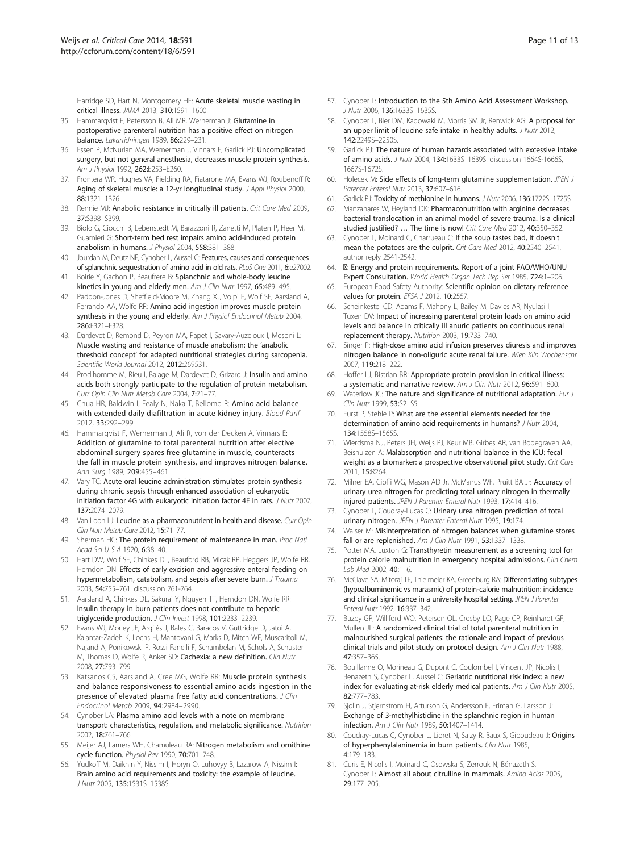<span id="page-10-0"></span>Harridge SD, Hart N, Montgomery HE: Acute skeletal muscle wasting in critical illness. JAMA 2013, 310:1591–1600.

- 35. Hammarqvist F, Petersson B, Ali MR, Wernerman J: Glutamine in postoperative parenteral nutrition has a positive effect on nitrogen balance. Lakartidningen 1989, 86:229–231.
- 36. Essen P, McNurlan MA, Wernerman J, Vinnars E, Garlick PJ: Uncomplicated surgery, but not general anesthesia, decreases muscle protein synthesis. Am J Physiol 1992, 262:E253-E260.
- 37. Frontera WR, Hughes VA, Fielding RA, Fiatarone MA, Evans WJ, Roubenoff R: Aging of skeletal muscle: a 12-yr longitudinal study. J Appl Physiol 2000, 88:1321–1326.
- 38. Rennie MJ: Anabolic resistance in critically ill patients. Crit Care Med 2009, 37:S398–S399.
- 39. Biolo G, Ciocchi B, Lebenstedt M, Barazzoni R, Zanetti M, Platen P, Heer M, Guarnieri G: Short-term bed rest impairs amino acid-induced protein anabolism in humans. J Physiol 2004, 558:381–388.
- 40. Jourdan M, Deutz NE, Cynober L, Aussel C: Features, causes and consequences of splanchnic sequestration of amino acid in old rats. PLoS One 2011, 6:e27002.
- 41. Boirie Y, Gachon P, Beaufrere B: Splanchnic and whole-body leucine kinetics in young and elderly men. Am J Clin Nutr 1997, 65:489-495.
- 42. Paddon-Jones D, Sheffield-Moore M, Zhang XJ, Volpi E, Wolf SE, Aarsland A, Ferrando AA, Wolfe RR: Amino acid ingestion improves muscle protein synthesis in the young and elderly. Am J Physiol Endocrinol Metab 2004, 286:E321–E328.
- 43. Dardevet D, Remond D, Peyron MA, Papet I, Savary-Auzeloux I, Mosoni L: Muscle wasting and resistance of muscle anabolism: the 'anabolic threshold concept' for adapted nutritional strategies during sarcopenia. Scientific World Journal 2012, 2012:269531.
- 44. Prod'homme M, Rieu I, Balage M, Dardevet D, Grizard J: Insulin and amino acids both strongly participate to the regulation of protein metabolism. Curr Opin Clin Nutr Metab Care 2004, 7:71–77.
- 45. Chua HR, Baldwin I, Fealy N, Naka T, Bellomo R: Amino acid balance with extended daily diafiltration in acute kidney injury. Blood Purif 2012, 33:292–299.
- 46. Hammarqvist F, Wernerman J, Ali R, von der Decken A, Vinnars E: Addition of glutamine to total parenteral nutrition after elective abdominal surgery spares free glutamine in muscle, counteracts the fall in muscle protein synthesis, and improves nitrogen balance. Ann Surg 1989, 209:455–461.
- 47. Vary TC: Acute oral leucine administration stimulates protein synthesis during chronic sepsis through enhanced association of eukaryotic initiation factor 4G with eukaryotic initiation factor 4E in rats. J Nutr 2007, 137:2074–2079.
- 48. Van Loon LJ: Leucine as a pharmaconutrient in health and disease. Curr Opin Clin Nutr Metab Care 2012, 15:71–77.
- 49. Sherman HC: The protein requirement of maintenance in man. Proc Natl Acad Sci U S A 1920, 6:38-40.
- 50. Hart DW, Wolf SE, Chinkes DL, Beauford RB, Mlcak RP, Heggers JP, Wolfe RR, Herndon DN: Effects of early excision and aggressive enteral feeding on hypermetabolism, catabolism, and sepsis after severe burn. J Trauma 2003, 54:755–761. discussion 761-764.
- 51. Aarsland A, Chinkes DL, Sakurai Y, Nguyen TT, Herndon DN, Wolfe RR: Insulin therapy in burn patients does not contribute to hepatic triglyceride production. J Clin Invest 1998, 101:2233–2239.
- 52. Evans WJ, Morley JE, Argilés J, Bales C, Baracos V, Guttridge D, Jatoi A, Kalantar-Zadeh K, Lochs H, Mantovani G, Marks D, Mitch WE, Muscaritoli M, Najand A, Ponikowski P, Rossi Fanelli F, Schambelan M, Schols A, Schuster M, Thomas D, Wolfe R, Anker SD: Cachexia: a new definition. Clin Nutr 2008, 27:793–799.
- 53. Katsanos CS, Aarsland A, Cree MG, Wolfe RR: Muscle protein synthesis and balance responsiveness to essential amino acids ingestion in the presence of elevated plasma free fatty acid concentrations. J Clin Endocrinol Metab 2009, 94:2984–2990.
- 54. Cynober LA: Plasma amino acid levels with a note on membrane transport: characteristics, regulation, and metabolic significance. Nutrition 2002, 18:761–766.
- 55. Meijer AJ, Lamers WH, Chamuleau RA: Nitrogen metabolism and ornithine cycle function. Physiol Rev 1990, 70:701–748.
- 56. Yudkoff M, Daikhin Y, Nissim I, Horyn O, Luhovyy B, Lazarow A, Nissim I: Brain amino acid requirements and toxicity: the example of leucine. J Nutr 2005, 135:1531S–1538S.
- 57. Cynober L: Introduction to the 5th Amino Acid Assessment Workshop. J Nutr 2006, 136:1633S-1635S.
- 58. Cynober L, Bier DM, Kadowaki M, Morris SM Jr, Renwick AG: A proposal for an upper limit of leucine safe intake in healthy adults. J Nutr 2012, 142:2249S–2250S.
- 59. Garlick PJ: The nature of human hazards associated with excessive intake of amino acids. J Nutr 2004, 134:1633S–1639S. discussion 1664S-1666S, 1667S-1672S.
- 60. Holecek M: Side effects of long-term glutamine supplementation. JPEN J Parenter Enteral Nutr 2013, 37:607–616.
- 61. Garlick PJ: Toxicity of methionine in humans. J Nutr 2006, 136:1722S–1725S.
- 62. Manzanares W, Heyland DK: Pharmaconutrition with arginine decreases bacterial translocation in an animal model of severe trauma. Is a clinical studied justified? ... The time is now! Crit Care Med 2012, 40:350-352.
- 63. Cynober L, Moinard C, Charrueau C: If the soup tastes bad, it doesn't mean the potatoes are the culprit. Crit Care Med 2012, 40:2540–2541. author reply 2541-2542.
- 64.  $\boxtimes$ : Energy and protein requirements. Report of a joint FAO/WHO/UNU Expert Consultation. World Health Organ Tech Rep Ser 1985, 724:1-206.
- 65. European Food Safety Authority: Scientific opinion on dietary reference values for protein. EFSA J 2012, 10:2557.
- Scheinkestel CD, Adams F, Mahony L, Bailey M, Davies AR, Nyulasi I, Tuxen DV: Impact of increasing parenteral protein loads on amino acid levels and balance in critically ill anuric patients on continuous renal replacement therapy. Nutrition 2003, 19:733–740.
- 67. Singer P: High-dose amino acid infusion preserves diuresis and improves nitrogen balance in non-oliguric acute renal failure. Wien Klin Wochenschr 2007, 119:218–222.
- Hoffer LJ, Bistrian BR: Appropriate protein provision in critical illness: a systematic and narrative review. Am J Clin Nutr 2012, 96:591-600.
- 69. Waterlow JC: The nature and significance of nutritional adaptation. Eur J Clin Nutr 1999, 53:S2–S5.
- 70. Furst P, Stehle P: What are the essential elements needed for the determination of amino acid requirements in humans? J Nutr 2004, 134:1558S–1565S.
- 71. Wierdsma NJ, Peters JH, Weijs PJ, Keur MB, Girbes AR, van Bodegraven AA, Beishuizen A: Malabsorption and nutritional balance in the ICU: fecal weight as a biomarker: a prospective observational pilot study. Crit Care 2011, 15:R264.
- 72. Milner EA, Cioffi WG, Mason AD Jr, McManus WF, Pruitt BA Jr: Accuracy of urinary urea nitrogen for predicting total urinary nitrogen in thermally injured patients. JPEN J Parenter Enteral Nutr 1993, 17:414-416.
- 73. Cynober L, Coudray-Lucas C: Urinary urea nitrogen prediction of total urinary nitrogen. JPEN J Parenter Enteral Nutr 1995, 19:174.
- Walser M: Misinterpretation of nitrogen balances when glutamine stores fall or are replenished. Am J Clin Nutr 1991, 53:1337-1338.
- 75. Potter MA, Luxton G: Transthyretin measurement as a screening tool for protein calorie malnutrition in emergency hospital admissions. Clin Chem Lab Med 2002, 40:1–6.
- 76. McClave SA, Mitoraj TE, Thielmeier KA, Greenburg RA: Differentiating subtypes (hypoalbuminemic vs marasmic) of protein-calorie malnutrition: incidence and clinical significance in a university hospital setting. JPEN J Parenter Enteral Nutr 1992, 16:337–342.
- 77. Buzby GP, Williford WO, Peterson OL, Crosby LO, Page CP, Reinhardt GF, Mullen JL: A randomized clinical trial of total parenteral nutrition in malnourished surgical patients: the rationale and impact of previous clinical trials and pilot study on protocol design. Am J Clin Nutr 1988, 47:357–365.
- 78. Bouillanne O, Morineau G, Dupont C, Coulombel I, Vincent JP, Nicolis I, Benazeth S, Cynober L, Aussel C: Geriatric nutritional risk index: a new index for evaluating at-risk elderly medical patients. Am J Clin Nutr 2005, 82:777–783.
- 79. Sjolin J, Stjernstrom H, Arturson G, Andersson E, Friman G, Larsson J: Exchange of 3-methylhistidine in the splanchnic region in human infection. Am J Clin Nutr 1989, 50:1407–1414.
- 80. Coudray-Lucas C, Cynober L, Lioret N, Saizy R, Baux S, Giboudeau J: Origins of hyperphenylalaninemia in burn patients. Clin Nutr 1985, 4:179–183.
- 81. Curis E, Nicolis I, Moinard C, Osowska S, Zerrouk N, Bénazeth S, Cynober L: Almost all about citrulline in mammals. Amino Acids 2005, 29:177–205.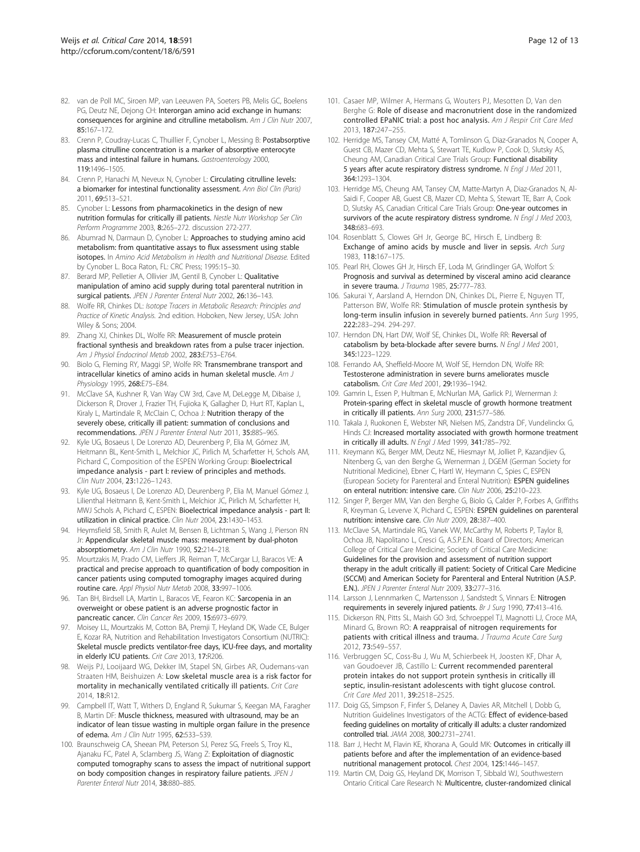- <span id="page-11-0"></span>82. van de Poll MC, Siroen MP, van Leeuwen PA, Soeters PB, Melis GC, Boelens PG, Deutz NE, Dejong CH: Interorgan amino acid exchange in humans: consequences for arginine and citrulline metabolism. Am J Clin Nutr 2007, 85:167–172.
- 83. Crenn P, Coudray-Lucas C, Thuillier F, Cynober L, Messing B: Postabsorptive plasma citrulline concentration is a marker of absorptive enterocyte mass and intestinal failure in humans. Gastroenterology 2000, 119:1496–1505.
- 84. Crenn P, Hanachi M, Neveux N, Cynober L: Circulating citrulline levels: a biomarker for intestinal functionality assessment. Ann Biol Clin (Paris) 2011, 69:513–521.
- 85. Cynober L: Lessons from pharmacokinetics in the design of new nutrition formulas for critically ill patients. Nestle Nutr Workshop Ser Clin Perform Programme 2003, 8:265–272. discussion 272-277.
- 86. Abumrad N, Darmaun D, Cynober L: Approaches to studying amino acid metabolism: from quantitative assays to flux assessment using stable isotopes. In Amino Acid Metabolism in Health and Nutritional Disease. Edited by Cynober L. Boca Raton, FL: CRC Press; 1995:15–30.
- 87. Berard MP, Pelletier A, Ollivier JM, Gentil B, Cynober L: Qualitative manipulation of amino acid supply during total parenteral nutrition in surgical patients. JPEN J Parenter Enteral Nutr 2002, 26:136-143.
- 88. Wolfe RR, Chinkes DL: Isotope Tracers in Metabolic Research: Principles and Practice of Kinetic Analysis. 2nd edition. Hoboken, New Jersey, USA: John Wiley & Sons; 2004.
- 89. Zhang XJ, Chinkes DL, Wolfe RR: Measurement of muscle protein fractional synthesis and breakdown rates from a pulse tracer injection. Am J Physiol Endocrinol Metab 2002, 283:E753–E764.
- 90. Biolo G, Fleming RY, Maggi SP, Wolfe RR: Transmembrane transport and intracellular kinetics of amino acids in human skeletal muscle. Am J Physiology 1995, 268:E75–E84.
- 91. McClave SA, Kushner R, Van Way CW 3rd, Cave M, DeLegge M, Dibaise J, Dickerson R, Drover J, Frazier TH, Fujioka K, Gallagher D, Hurt RT, Kaplan L, Kiraly L, Martindale R, McClain C, Ochoa J: Nutrition therapy of the severely obese, critically ill patient: summation of conclusions and recommendations. JPEN J Parenter Enteral Nutr 2011, 35:88S–96S.
- 92. Kyle UG, Bosaeus I, De Lorenzo AD, Deurenberg P, Elia M, Gómez JM, Heitmann BL, Kent-Smith L, Melchior JC, Pirlich M, Scharfetter H, Schols AM, Pichard C, Composition of the ESPEN Working Group: Bioelectrical impedance analysis - part I: review of principles and methods. Clin Nutr 2004, 23:1226–1243.
- 93. Kyle UG, Bosaeus I, De Lorenzo AD, Deurenberg P, Elia M, Manuel Gómez J, Lilienthal Heitmann B, Kent-Smith L, Melchior JC, Pirlich M, Scharfetter H, MWJ Schols A, Pichard C, ESPEN: Bioelectrical impedance analysis - part II: utilization in clinical practice. Clin Nutr 2004, 23:1430–1453.
- 94. Heymsfield SB, Smith R, Aulet M, Bensen B, Lichtman S, Wang J, Pierson RN Jr: Appendicular skeletal muscle mass: measurement by dual-photon absorptiometry. Am J Clin Nutr 1990, 52:214-218.
- 95. Mourtzakis M, Prado CM, Lieffers JR, Reiman T, McCargar LJ, Baracos VE: A practical and precise approach to quantification of body composition in cancer patients using computed tomography images acquired during routine care. Appl Physiol Nutr Metab 2008, 33:997–1006.
- 96. Tan BH, Birdsell LA, Martin L, Baracos VE, Fearon KC: Sarcopenia in an overweight or obese patient is an adverse prognostic factor in pancreatic cancer. Clin Cancer Res 2009, 15:6973–6979.
- 97. Moisey LL, Mourtzakis M, Cotton BA, Premji T, Heyland DK, Wade CE, Bulger E, Kozar RA, Nutrition and Rehabilitation Investigators Consortium (NUTRIC): Skeletal muscle predicts ventilator-free days, ICU-free days, and mortality in elderly ICU patients. Crit Care 2013, 17:R206.
- 98. Weijs PJ, Looijaard WG, Dekker IM, Stapel SN, Girbes AR, Oudemans-van Straaten HM, Beishuizen A: Low skeletal muscle area is a risk factor for mortality in mechanically ventilated critically ill patients. Crit Care 2014, 18:R12.
- 99. Campbell IT, Watt T, Withers D, England R, Sukumar S, Keegan MA, Faragher B, Martin DF: Muscle thickness, measured with ultrasound, may be an indicator of lean tissue wasting in multiple organ failure in the presence of edema. Am J Clin Nutr 1995, 62:533–539.
- 100. Braunschweig CA, Sheean PM, Peterson SJ, Perez SG, Freels S, Troy KL, Ajanaku FC, Patel A, Sclamberg JS, Wang Z: Exploitation of diagnostic computed tomography scans to assess the impact of nutritional support on body composition changes in respiratory failure patients. JPEN J Parenter Enteral Nutr 2014, 38:880-885.
- 101. Casaer MP, Wilmer A, Hermans G, Wouters PJ, Mesotten D, Van den Berghe G: Role of disease and macronutrient dose in the randomized controlled EPaNIC trial: a post hoc analysis. Am J Respir Crit Care Med 2013, 187:247–255.
- 102. Herridge MS, Tansey CM, Matté A, Tomlinson G, Diaz-Granados N, Cooper A, Guest CB, Mazer CD, Mehta S, Stewart TE, Kudlow P, Cook D, Slutsky AS, Cheung AM, Canadian Critical Care Trials Group: Functional disability 5 years after acute respiratory distress syndrome. N Engl J Med 2011, 364:1293–1304.
- 103. Herridge MS, Cheung AM, Tansey CM, Matte-Martyn A, Diaz-Granados N, Al-Saidi F, Cooper AB, Guest CB, Mazer CD, Mehta S, Stewart TE, Barr A, Cook D, Slutsky AS, Canadian Critical Care Trials Group: One-year outcomes in survivors of the acute respiratory distress syndrome. N Engl J Med 2003, 348:683–693.
- 104. Rosenblatt S, Clowes GH Jr, George BC, Hirsch E, Lindberg B: Exchange of amino acids by muscle and liver in sepsis. Arch Surg 1983, 118:167–175.
- 105. Pearl RH, Clowes GH Jr, Hirsch EF, Loda M, Grindlinger GA, Wolfort S: Prognosis and survival as determined by visceral amino acid clearance in severe trauma. J Trauma 1985, 25:777–783.
- 106. Sakurai Y, Aarsland A, Herndon DN, Chinkes DL, Pierre E, Nguyen TT, Patterson BW, Wolfe RR: Stimulation of muscle protein synthesis by long-term insulin infusion in severely burned patients. Ann Surg 1995, 222:283–294. 294-297.
- 107. Herndon DN, Hart DW, Wolf SE, Chinkes DL, Wolfe RR: Reversal of catabolism by beta-blockade after severe burns. N Engl J Med 2001, 345:1223–1229.
- 108. Ferrando AA, Sheffield-Moore M, Wolf SE, Herndon DN, Wolfe RR: Testosterone administration in severe burns ameliorates muscle catabolism. Crit Care Med 2001, 29:1936–1942.
- 109. Gamrin L, Essen P, Hultman E, McNurlan MA, Garlick PJ, Wernerman J: Protein-sparing effect in skeletal muscle of growth hormone treatment in critically ill patients. Ann Surg 2000, 231:577–586.
- 110. Takala J, Ruokonen E, Webster NR, Nielsen MS, Zandstra DF, Vundelinckx G, Hinds CJ: Increased mortality associated with growth hormone treatment in critically ill adults. N Engl J Med 1999, 341:785–792.
- 111. Kreymann KG, Berger MM, Deutz NE, Hiesmayr M, Jolliet P, Kazandjiev G, Nitenberg G, van den Berghe G, Wernerman J, DGEM (German Society for Nutritional Medicine), Ebner C, Hartl W, Heymann C, Spies C, ESPEN (European Society for Parenteral and Enteral Nutrition): ESPEN guidelines on enteral nutrition: intensive care. Clin Nutr 2006, 25:210–223.
- 112. Singer P, Berger MM, Van den Berghe G, Biolo G, Calder P, Forbes A, Griffiths R, Kreyman G, Leverve X, Pichard C, ESPEN: ESPEN guidelines on parenteral nutrition: intensive care. Clin Nutr 2009, 28:387–400.
- 113. McClave SA, Martindale RG, Vanek VW, McCarthy M, Roberts P, Taylor B, Ochoa JB, Napolitano L, Cresci G, A.S.P.E.N. Board of Directors; American College of Critical Care Medicine; Society of Critical Care Medicine: Guidelines for the provision and assessment of nutrition support therapy in the adult critically ill patient: Society of Critical Care Medicine (SCCM) and American Society for Parenteral and Enteral Nutrition (A.S.P. E.N.). JPEN J Parenter Enteral Nutr 2009, 33:277–316.
- 114. Larsson J, Lennmarken C, Martensson J, Sandstedt S, Vinnars E: Nitrogen requirements in severely injured patients. Br J Surg 1990, 77:413–416.
- 115. Dickerson RN, Pitts SL, Maish GO 3rd, Schroeppel TJ, Magnotti LJ, Croce MA, Minard G, Brown RO: A reappraisal of nitrogen requirements for patients with critical illness and trauma. J Trauma Acute Care Surg 2012, 73:549–557.
- 116. Verbruggen SC, Coss-Bu J, Wu M, Schierbeek H, Joosten KF, Dhar A, van Goudoever JB, Castillo L: Current recommended parenteral protein intakes do not support protein synthesis in critically ill septic, insulin-resistant adolescents with tight glucose control. Crit Care Med 2011, 39:2518–2525.
- 117. Doig GS, Simpson F, Finfer S, Delaney A, Davies AR, Mitchell I, Dobb G, Nutrition Guidelines Investigators of the ACTG: Effect of evidence-based feeding guidelines on mortality of critically ill adults: a cluster randomized controlled trial. JAMA 2008, 300:2731–2741.
- 118. Barr J, Hecht M, Flavin KE, Khorana A, Gould MK: Outcomes in critically ill patients before and after the implementation of an evidence-based nutritional management protocol. Chest 2004, 125:1446–1457.
- 119. Martin CM, Doig GS, Heyland DK, Morrison T, Sibbald WJ, Southwestern Ontario Critical Care Research N: Multicentre, cluster-randomized clinical